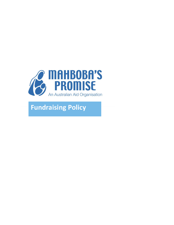

# **Fundraising Policy**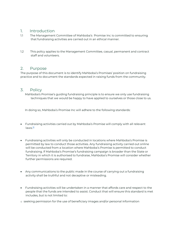### 1. Introduction

- 1.1 The Management Committee of Mahboba's Promise Inc is committed to ensuring that fundraising activities are carried out in an ethical manner.
- 1.2 This policy applies to the Management Committee, casual, permanent and contract staff and volunteers.

#### 2. Purpose

The purpose of this document is to identify Mahboba's Promises' position on fundraising practice and to document the standards expected in raising funds from the community.

#### 3. Policy

 Mahboba's Promise's guiding fundraising principle is to ensure we only use fundraising techniques that we would be happy to have applied to ourselves or those close to us.

In doing so, Mahboba's Promise Inc will adhere to the following standards:

- Fundraising activities carried out by Mahboba's Promise will comply with all relevant  $l$ aws. $\mathbb{I}$
- Fundraising activities will only be conducted in locations where Mahboba's Promise is permitted by law to conduct those activities. Any fundraising activity carried out online will be conducted from a location where Mahboba's Promise is permitted to conduct fundraising. If Mahboba's Promise's fundraising campaign is broader than the State or Territory in which it is authorised to fundraise, Mahboba's Promise will consider whether further permissions are required.
- Any communications to the public made in the course of carrying out a fundraising activity shall be truthful and not deceptive or misleading.
- Fundraising activities will be undertaken in a manner that affords care and respect to the people that the funds are intended to assist. Conduct that will ensure this standard is met includes, but is not limited to:
- o seeking permission for the use of beneficiary images and/or personal information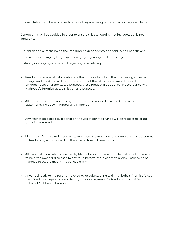o consultation with beneficiaries to ensure they are being represented as they wish to be

Conduct that will be avoided in order to ensure this standard is met includes, but is not limited to:

- o highlighting or focusing on the impairment, dependency or disability of a beneficiary
- o the use of disparaging language or imagery regarding the beneficiary
- o stating or implying a falsehood regarding a beneficiary
- Fundraising material will clearly state the purpose for which the fundraising appeal is being conducted and will include a statement that, if the funds raised exceed the amount needed for the stated purpose, those funds will be applied in accordance with Mahboba's Promise stated mission and purpose.
- All monies raised via fundraising activities will be applied in accordance with the statements included in fundraising material.
- Any restriction placed by a donor on the use of donated funds will be respected, or the donation returned.
- Mahboba's Promise will report to its members, stakeholders, and donors on the outcomes of fundraising activities and on the expenditure of these funds.
- All personal information collected by Mahboba's Promise is confidential, is not for sale or to be given away or disclosed to any third party without consent, and will otherwise be handled in accordance with applicable law.
- Anyone directly or indirectly employed by or volunteering with Mahboba's Promise is not permitted to accept any commission, bonus or payment for fundraising activities on behalf of Mahboba's Promise.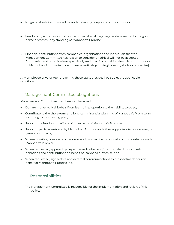- No general solicitations shall be undertaken by telephone or door-to-door.
- Fundraising activities should not be undertaken if they may be detrimental to the good name or community standing of Mahboba's Promise.
- Financial contributions from companies, organisations and individuals that the Management Committee has reason to consider unethical will not be accepted. Companies and organisations specifically excluded from making financial contributions to Mahboba's Promise include [pharmaceutical/gambling/tobacco/alcohol companies].

Any employee or volunteer breaching these standards shall be subject to applicable sanctions.

## Management Committee obligations

Management Committee members will be asked to:

- Donate money to Mahboba's Promise Inc in proportion to their ability to do so;
- Contribute to the short-term and long-term financial planning of Mahboba's Promise Inc, including its fundraising plan;
- Support the fundraising efforts of other parts of Mahboba's Promise;
- Support special events run by Mahboba's Promise and other supporters to raise money or generate contacts;
- Where possible, consider and recommend prospective individual and corporate donors to Mahboba's Promise;
- When requested, approach prospective individual and/or corporate donors to ask for donations and contributions on behalf of Mahboba's Promise; and
- When requested, sign letters and external communications to prospective donors on behalf of Mahboba's Promise Inc.

# Responsibilities

 The Management Committee is responsible for the implementation and review of this policy.